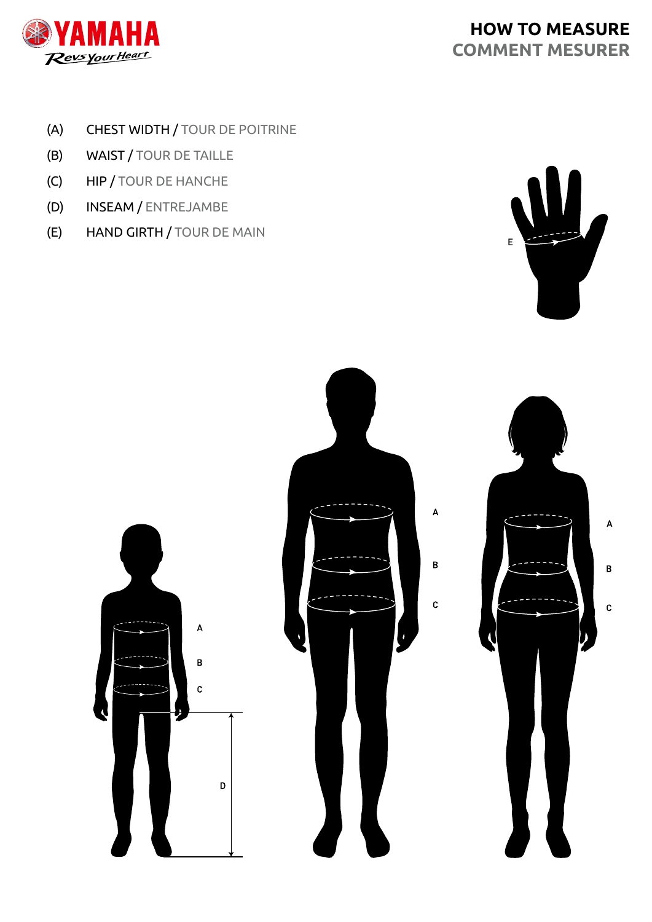

# **HOW TO MEASURE COMMENT MESURER**

- (A) CHEST WIDTH / TOUR DE POITRINE
- (B) WAIST / TOUR DE TAILLE
- (C) HIP / TOUR DE HANCHE
- (D) INSEAM / ENTREJAMBE
- (E) HAND GIRTH / TOUR DE MAIN



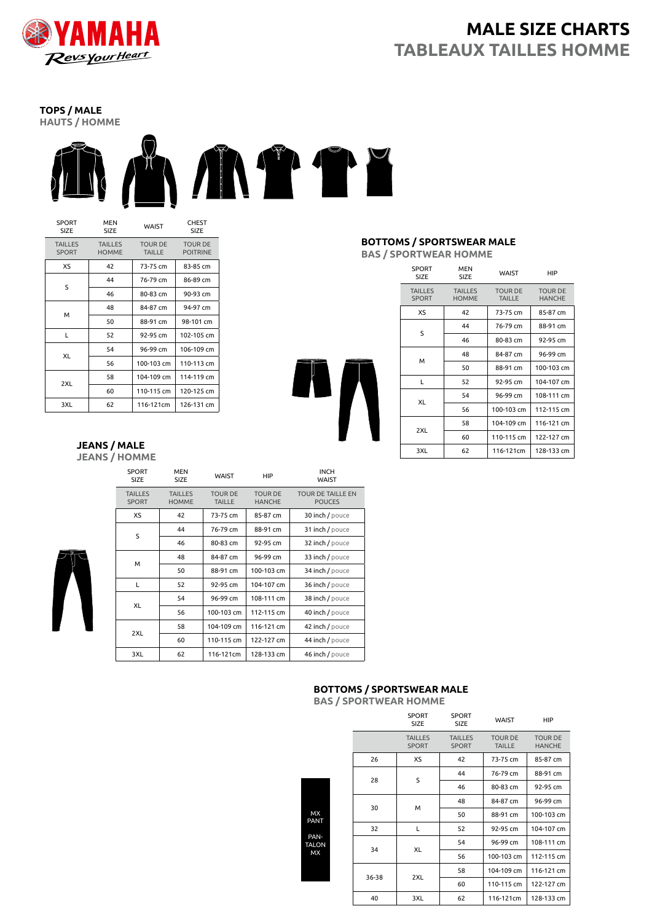

## **MALE SIZE CHARTS TABLEAUX TAILLES HOMME**

**TOPS / MALE HAUTS / HOMME**



| SPORT<br><b>SIZE</b>           | <b>MEN</b><br>SIZE             | WAIST                           | <b>CHEST</b><br>SIZE              |
|--------------------------------|--------------------------------|---------------------------------|-----------------------------------|
| <b>TAILLES</b><br><b>SPORT</b> | <b>TAILLES</b><br><b>HOMME</b> | <b>TOUR DE</b><br><b>TAILLE</b> | <b>TOUR DE</b><br><b>POITRINE</b> |
| XS                             | 42                             | 73-75 cm                        | 83-85 cm                          |
| S                              | 44                             | 76-79 cm                        | 86-89 cm                          |
|                                | 46                             | 80-83 cm                        | 90-93 cm                          |
|                                | 48                             | 84-87 cm                        | 94-97 cm                          |
| м                              | 50                             | 88-91 cm                        | 98-101 cm                         |
| L                              | 52                             | 92-95 cm                        | 102-105 cm                        |
| XL                             | 54                             | 96-99 cm                        | 106-109 cm                        |
|                                | 56                             | 100-103 cm                      | 110-113 cm                        |
| 2XL                            | 58                             | 104-109 cm                      | 114-119 cm                        |
|                                | 60                             | 110-115 cm                      | 120-125 cm                        |
| 3XL                            | 62                             | 116-121cm                       | 126-131 cm                        |

#### **JEANS / MALE JEANS / HOMME**

|  | <b>SPORT</b><br><b>SIZE</b>    | <b>MEN</b><br><b>SIZE</b>      | WAIST                           | <b>HIP</b>                      | <b>INCH</b><br>WAIST                      |
|--|--------------------------------|--------------------------------|---------------------------------|---------------------------------|-------------------------------------------|
|  | <b>TAILLES</b><br><b>SPORT</b> | <b>TAILLES</b><br><b>HOMME</b> | <b>TOUR DE</b><br><b>TAILLE</b> | <b>TOUR DE</b><br><b>HANCHE</b> | <b>TOUR DE TAILLE EN</b><br><b>POUCES</b> |
|  | XS                             | 42                             | 73-75 cm                        | 85-87 cm                        | 30 inch / pouce                           |
|  | S                              | 44                             | 76-79 cm                        | 88-91 cm                        | 31 inch / pouce                           |
|  |                                | 46                             | 80-83 cm                        | 92-95 cm                        | 32 inch / pouce                           |
|  | м                              | 48                             | 84-87 cm                        | 96-99 cm                        | 33 inch / pouce                           |
|  |                                | 50                             | 88-91 cm                        | 100-103 cm                      | 34 inch / pouce                           |
|  | L                              | 52                             | 92-95 cm                        | 104-107 cm                      | 36 inch / pouce                           |
|  | <b>XL</b>                      | 54                             | 96-99 cm                        | 108-111 cm                      | 38 inch / pouce                           |
|  |                                | 56                             | 100-103 cm                      | 112-115 cm                      | 40 inch / pouce                           |
|  | 2XL                            | 58                             | 104-109 cm                      | 116-121 cm                      | 42 inch / pouce                           |
|  |                                | 60                             | 110-115 cm                      | 122-127 cm                      | 44 inch / pouce                           |
|  | 3XL                            | 62                             | 116-121cm                       | 128-133 cm                      | 46 inch / pouce                           |
|  |                                |                                |                                 |                                 |                                           |

#### **BOTTOMS / SPORTSWEAR MALE BAS / SPORTWEAR HOMME**

| <b>SPORT</b><br>SIZE           | <b>MEN</b><br><b>SIZE</b>      | <b>WAIST</b>                    | HIP                             |
|--------------------------------|--------------------------------|---------------------------------|---------------------------------|
| <b>TAILLES</b><br><b>SPORT</b> | <b>TAILLES</b><br><b>HOMME</b> | <b>TOUR DE</b><br><b>TAILLE</b> | <b>TOUR DE</b><br><b>HANCHE</b> |
| XS                             | 42                             | 73-75 cm                        | 85-87 cm                        |
| S                              | 44                             | 76-79 cm                        | 88-91 cm                        |
|                                | 46                             | 80-83 cm                        | 92-95 cm                        |
| м                              | 48                             | 84-87 cm                        | 96-99 cm                        |
|                                | 50                             | 88-91 cm                        | 100-103 cm                      |
| L                              | 52                             | 92-95 cm                        | 104-107 cm                      |
| XL                             | 54                             | 96-99 cm                        | 108-111 cm                      |
|                                | 56                             | 100-103 cm                      | 112-115 cm                      |
| 2XL                            | 58                             | 104-109 cm                      | 116-121 cm                      |
|                                | 60                             | 110-115 cm                      | 122-127 cm                      |
| 3XL                            | 62                             | 116-121cm                       | 128-133 cm                      |

### **BOTTOMS / SPORTSWEAR MALE**

**BAS / SPORTWEAR HOMME**

| <b>MX</b><br><b>PANT</b>   |  |
|----------------------------|--|
| PAN-<br><b>TALON</b><br>MX |  |
|                            |  |

|  |       | <b>SPORT</b><br><b>SIZE</b>    | <b>SPORT</b><br>SIZE           | <b>WAIST</b>                    | HIP                             |
|--|-------|--------------------------------|--------------------------------|---------------------------------|---------------------------------|
|  |       | <b>TAILLES</b><br><b>SPORT</b> | <b>TAILLES</b><br><b>SPORT</b> | <b>TOUR DE</b><br><b>TAILLE</b> | <b>TOUR DE</b><br><b>HANCHE</b> |
|  | 26    | XS                             | 42                             | 73-75 cm                        | 85-87 cm                        |
|  |       |                                | 44                             | 76-79 cm                        | 88-91 cm                        |
|  | 28    | S                              | 46                             | 80-83 cm                        | 92-95 cm                        |
|  |       |                                | 48                             | 84-87 cm                        | 96-99 cm                        |
|  | 30    | м                              | 50                             | 88-91 cm                        | 100-103 cm                      |
|  | 32    | L                              | 52                             | 92-95 cm                        | 104-107 cm                      |
|  |       | XL                             | 54                             | 96-99 cm                        | 108-111 cm                      |
|  | 34    |                                | 56                             | 100-103 cm                      | 112-115 cm                      |
|  | 36-38 |                                | 58                             | 104-109 cm                      | 116-121 cm                      |
|  |       | 2XL                            | 60                             | 110-115 cm                      | 122-127 cm                      |
|  | 40    | 3XL                            | 62                             | 116-121cm                       | 128-133 cm                      |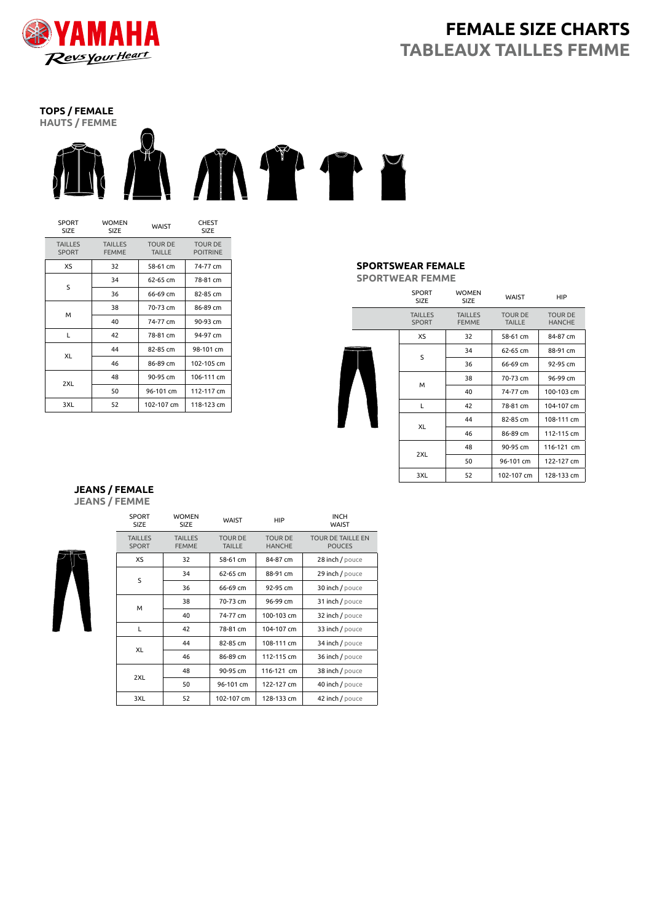

## **FEMALE SIZE CHARTS TABLEAUX TAILLES FEMME**

## **TOPS / FEMALE**



| <b>SPORT</b><br><b>SIZE</b>    | <b>WOMEN</b><br>WAIST<br><b>SIZE</b> |                                 | <b>CHEST</b><br><b>SIZE</b>       |
|--------------------------------|--------------------------------------|---------------------------------|-----------------------------------|
| <b>TAILLES</b><br><b>SPORT</b> | <b>TAILLES</b><br><b>FEMME</b>       | <b>TOUR DE</b><br><b>TAILLE</b> | <b>TOUR DE</b><br><b>POITRINE</b> |
| XS                             | 32                                   | 58-61 cm                        | 74-77 cm                          |
| S                              | 34                                   | $62 - 65$ cm                    | 78-81 cm                          |
|                                | 36                                   | 66-69 cm                        | 82-85 cm                          |
| м                              | 38                                   | 70-73 cm                        | 86-89 cm                          |
|                                | 40                                   | 74-77 cm                        | 90-93 cm                          |
| L                              | 42                                   | 78-81 cm                        | 94-97 cm                          |
| XL                             | 44                                   | 82-85 cm                        | 98-101 cm                         |
|                                | 46                                   | 86-89 cm                        | 102-105 cm                        |
|                                | 48                                   | 90-95 cm                        | 106-111 cm                        |
| 2XL                            | 50                                   | 96-101 cm                       | 112-117 cm                        |
| 3XL                            | 52                                   | 102-107 cm                      | 118-123 cm                        |

### **SPORTSWEAR FEMALE**

**SPORTWEAR FEMME**

|  | <b>SPORT</b><br>SIZE           | <b>WOMEN</b><br><b>SIZE</b>    | <b>WAIST</b>                    | <b>HIP</b>                      |
|--|--------------------------------|--------------------------------|---------------------------------|---------------------------------|
|  | <b>TAILLES</b><br><b>SPORT</b> | <b>TAILLES</b><br><b>FEMME</b> | <b>TOUR DE</b><br><b>TAILLE</b> | <b>TOUR DE</b><br><b>HANCHE</b> |
|  | XS                             | 32                             | 58-61 cm                        | 84-87 cm                        |
|  |                                | 34                             | 62-65 cm                        | 88-91 cm                        |
|  | S                              | 36                             | 66-69 cm                        | 92-95 cm                        |
|  | M                              | 38                             | 70-73 cm                        | 96-99 cm                        |
|  |                                | 40                             | 74-77 cm                        | 100-103 cm                      |
|  | L                              | 42                             | 78-81 cm                        | 104-107 cm                      |
|  | XL                             | 44                             | 82-85 cm                        | 108-111 cm                      |
|  |                                | 46                             | 86-89 cm                        | 112-115 cm                      |
|  |                                | 48                             | 90-95 cm                        | 116-121 cm                      |
|  | 2XL                            | 50                             | 96-101 cm                       | 122-127 cm                      |
|  | 3XL                            | 52                             | 102-107 cm                      | 128-133 cm                      |

#### **JEANS / FEMALE JEANS / FEMME**



| SPORT<br><b>SIZE</b>           | <b>WOMEN</b><br><b>SIZE</b>    | <b>WAIST</b>                    | HIP                             | <b>INCH</b><br><b>WAIST</b>               |
|--------------------------------|--------------------------------|---------------------------------|---------------------------------|-------------------------------------------|
| <b>TAILLES</b><br><b>SPORT</b> | <b>TAILLES</b><br><b>FEMME</b> | <b>TOUR DE</b><br><b>TAILLE</b> | <b>TOUR DE</b><br><b>HANCHE</b> | <b>TOUR DE TAILLE EN</b><br><b>POUCES</b> |
| XS                             | 32                             | 58-61 cm                        | 84-87 cm                        | 28 inch / pouce                           |
| S                              | 34                             | 62-65 cm                        | 88-91 cm                        | 29 inch / pouce                           |
|                                | 36                             | 66-69 cm                        | 92-95 cm                        | 30 inch / pouce                           |
| М                              | 38                             | 70-73 cm                        | 96-99 cm                        | 31 inch / pouce                           |
|                                | 40                             | 74-77 cm                        | 100-103 cm                      | 32 inch / pouce                           |
| L                              | 42                             | 78-81 cm                        | 104-107 cm                      | 33 inch / pouce                           |
| XL                             | 44                             | 82-85 cm                        | 108-111 cm                      | 34 inch / pouce                           |
|                                | 46                             | 86-89 cm                        | 112-115 cm                      | 36 inch / pouce                           |
| 2XL                            | 48                             | 90-95 cm                        | 116-121 cm                      | 38 inch / pouce                           |
|                                | 50                             | 96-101 cm                       | 122-127 cm                      | 40 inch / pouce                           |
| 3XL                            | 52                             | 102-107 cm                      | 128-133 cm                      | 42 inch / pouce                           |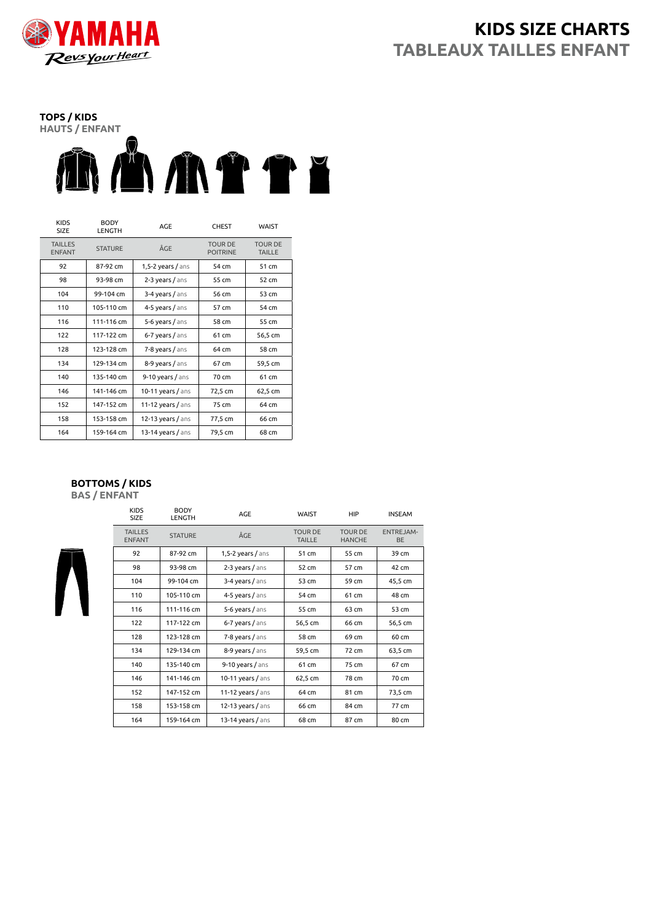

## **KIDS SIZE CHARTS TABLEAUX TAILLES ENFANT**



| <b>KIDS</b><br>SIZE             | <b>BODY</b><br><b>LENGTH</b> | AGE                 | <b>CHEST</b>                      | WAIST                           |
|---------------------------------|------------------------------|---------------------|-----------------------------------|---------------------------------|
| <b>TAILLES</b><br><b>ENFANT</b> | <b>STATURE</b>               | ÂGE                 | <b>TOUR DE</b><br><b>POITRINE</b> | <b>TOUR DE</b><br><b>TAILLE</b> |
| 92                              | 87-92 cm                     | $1,5-2$ years / ans | 54 cm                             | 51 cm                           |
| 98                              | 93-98 cm                     | $2-3$ years / ans   | 55 cm                             | 52 cm                           |
| 104                             | 99-104 cm                    | 3-4 years / ans     | 56 cm                             | 53 cm                           |
| 110                             | 105-110 cm                   | 4-5 years / ans     | 57 cm                             | 54 cm                           |
| 116                             | 111-116 cm                   | 5-6 years / ans     | 58 cm                             | 55 cm                           |
| 122                             | 117-122 cm                   | 6-7 years / ans     | 61 cm                             | 56,5 cm                         |
| 128                             | 123-128 cm                   | 7-8 years / ans     | 64 cm                             | 58 cm                           |
| 134                             | 129-134 cm                   | 8-9 years / ans     | 67 cm                             | 59,5 cm                         |
| 140                             | 135-140 cm                   | $9-10$ years / ans  | 70 cm                             | 61 cm                           |
| 146                             | 141-146 cm                   | $10-11$ years / ans | 72,5 cm                           | 62,5 cm                         |
| 152                             | 147-152 cm                   | 11-12 years $/$ ans | 75 cm                             | 64 cm                           |
| 158                             | 153-158 cm                   | 12-13 years / ans   | 77,5 cm                           | 66 cm                           |
| 164                             | 159-164 cm                   | 13-14 years $/$ ans | 79,5 cm                           | 68 cm                           |

### **BOTTOMS / KIDS**

KIDS

BODY

**BAS / ENFANT**

| כשורו<br><b>SIZE</b>            | --<br><b>LENGTH</b> | AGE                 | <b>WAIST</b>                    | HIP                             | <b>INSEAM</b>                 |
|---------------------------------|---------------------|---------------------|---------------------------------|---------------------------------|-------------------------------|
| <b>TAILLES</b><br><b>ENFANT</b> | <b>STATURE</b>      | ÂGE                 | <b>TOUR DE</b><br><b>TAILLE</b> | <b>TOUR DE</b><br><b>HANCHE</b> | <b>ENTREJAM-</b><br><b>BE</b> |
| 92                              | 87-92 cm            | $1,5-2$ years / ans | 51 cm                           | 55 cm                           | 39 cm                         |
| 98                              | 93-98 cm            | $2-3$ years / ans   | 52 cm                           | 57 cm                           | 42 cm                         |
| 104                             | 99-104 cm           | 3-4 years / ans     | 53 cm                           | 59 cm                           | 45,5 cm                       |
| 110                             | 105-110 cm          | 4-5 years / ans     | 54 cm                           | 61 cm                           | 48 cm                         |
| 116                             | 111-116 cm          | 5-6 years / ans     | 55 cm                           | 63 cm                           | 53 cm                         |
| 122                             | 117-122 cm          | 6-7 years / ans     | 56,5 cm                         | 66 cm                           | 56,5 cm                       |
| 128                             | 123-128 cm          | $7-8$ years $/$ ans | 58 cm                           | 69 cm                           | 60 cm                         |
| 134                             | 129-134 cm          | 8-9 years / ans     | 59,5 cm                         | 72 cm                           | 63,5 cm                       |
| 140                             | 135-140 cm          | $9-10$ years / ans  | 61 cm                           | 75 cm                           | 67 cm                         |
| 146                             | 141-146 cm          | 10-11 years / ans   | 62,5 cm                         | 78 cm                           | 70 cm                         |
| 152                             | 147-152 cm          | 11-12 years $/$ ans | 64 cm                           | 81 cm                           | 73,5 cm                       |
| 158                             | 153-158 cm          | $12-13$ years / ans | 66 cm                           | 84 cm                           | 77 cm                         |
| 164                             | 159-164 cm          | 13-14 years $/$ ans | 68 cm                           | 87 cm                           | 80 cm                         |